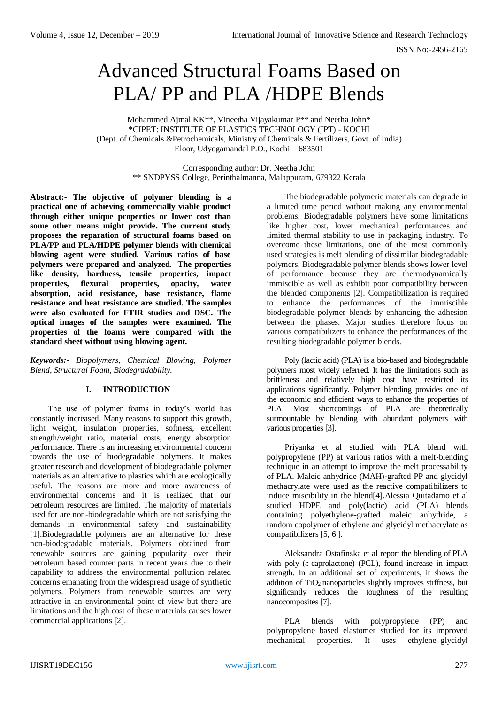# Advanced Structural Foams Based on PLA/ PP and PLA /HDPE Blends

Mohammed Ajmal KK\*\*, Vineetha Vijayakumar P\*\* and Neetha John\* \*CIPET: INSTITUTE OF PLASTICS TECHNOLOGY (IPT) - KOCHI (Dept. of Chemicals &Petrochemicals, Ministry of Chemicals & Fertilizers, Govt. of India) Eloor, Udyogamandal P.O., Kochi – 683501

> Corresponding author: Dr. Neetha John \*\* SNDPYSS College, Perinthalmanna, Malappuram, 679322 Kerala

**Abstract:- The objective of polymer blending is a practical one of achieving commercially viable product through either unique properties or lower cost than some other means might provide. The current study proposes the reparation of structural foams based on PLA/PP and PLA/HDPE polymer blends with chemical blowing agent were studied. Various ratios of base polymers were prepared and analyzed. The properties like density, hardness, tensile properties, impact properties, flexural properties, opacity, water absorption, acid resistance, base resistance, flame resistance and heat resistance are studied. The samples were also evaluated for FTIR studies and DSC. The optical images of the samples were examined. The properties of the foams were compared with the standard sheet without using blowing agent.** 

*Keywords:- Biopolymers, Chemical Blowing, Polymer Blend, Structural Foam, Biodegradability.*

# **I. INTRODUCTION**

The use of polymer foams in today's world has constantly increased. Many reasons to support this growth, light weight, insulation properties, softness, excellent strength/weight ratio, material costs, energy absorption performance. There is an increasing environmental concern towards the use of biodegradable polymers. It makes greater research and development of biodegradable polymer materials as an alternative to plastics which are ecologically useful. The reasons are more and more awareness of environmental concerns and it is realized that our petroleum resources are limited. The majority of materials used for are non-biodegradable which are not satisfying the demands in environmental safety and sustainability [1].Biodegradable polymers are an alternative for these non-biodegradable materials. Polymers obtained from renewable sources are gaining popularity over their petroleum based counter parts in recent years due to their capability to address the environmental pollution related concerns emanating from the widespread usage of synthetic polymers. Polymers from renewable sources are very attractive in an environmental point of view but there are limitations and the high cost of these materials causes lower commercial applications [2].

The biodegradable polymeric materials can degrade in a limited time period without making any environmental problems. Biodegradable polymers have some limitations like higher cost, lower mechanical performances and limited thermal stability to use in packaging industry. To overcome these limitations, one of the most commonly used strategies is melt blending of dissimilar biodegradable polymers. Biodegradable polymer blends shows lower level of performance because they are thermodynamically immiscible as well as exhibit poor compatibility between the blended components [2]. Compatibilization is required to enhance the performances of the immiscible biodegradable polymer blends by enhancing the adhesion between the phases. Major studies therefore focus on various compatibilizers to enhance the performances of the resulting biodegradable polymer blends.

Poly (lactic acid) (PLA) is a bio-based and biodegradable polymers most widely referred. It has the limitations such as brittleness and relatively high cost have restricted its applications significantly. Polymer blending provides one of the economic and efficient ways to enhance the properties of PLA. Most shortcomings of PLA are theoretically surmountable by blending with abundant polymers with various properties [3].

Priyanka et al studied with PLA blend with polypropylene (PP) at various ratios with a melt‐blending technique in an attempt to improve the melt processability of PLA. Maleic anhydride (MAH)‐grafted PP and glycidyl methacrylate were used as the reactive compatibilizers to induce miscibility in the blend[4].Alessia Quitadamo et al studied HDPE and poly(lactic) acid (PLA) blends containing polyethylene-grafted maleic anhydride, a random copolymer of ethylene and glycidyl methacrylate as compatibilizers [5, 6 ].

Aleksandra Ostafinska et al report the blending of PLA with poly (ε-caprolactone) (PCL), found increase in impact strength. In an additional set of experiments, it shows the addition of  $TiO<sub>2</sub>$  nanoparticles slightly improves stiffness, but significantly reduces the toughness of the resulting nanocomposites [7].

PLA blends with polypropylene (PP) and polypropylene based elastomer studied for its improved mechanical properties. It uses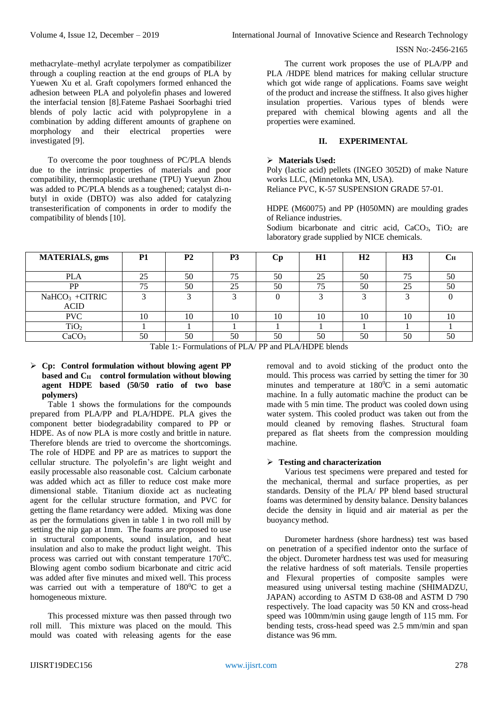methacrylate–methyl acrylate terpolymer as compatibilizer through a coupling reaction at the end groups of PLA by Yuewen Xu et al. Graft copolymers formed enhanced the adhesion between PLA and polyolefin phases and lowered the interfacial tension [8].Fateme Pashaei Soorbaghi tried blends of poly lactic acid with polypropylene in a combination by adding different amounts of graphene on morphology and their electrical properties were investigated [9].

To overcome the poor toughness of PC/PLA blends due to the intrinsic properties of materials and poor compatibility, thermoplastic urethane (TPU) Yueyun Zhou was added to PC/PLA blends as a toughened; catalyst di-nbutyl in oxide (DBTO) was also added for catalyzing transesterification of components in order to modify the compatibility of blends [10].

The current work proposes the use of PLA/PP and PLA /HDPE blend matrices for making cellular structure which got wide range of applications. Foams save weight of the product and increase the stiffness. It also gives higher insulation properties. Various types of blends were prepared with chemical blowing agents and all the properties were examined.

## **II. EXPERIMENTAL**

## **Materials Used:**

Poly (lactic acid) pellets (INGEO 3052D) of make Nature works LLC, (Minnetonka MN, USA). Reliance PVC, K-57 SUSPENSION GRADE 57-01.

HDPE (M60075) and PP (H050MN) are moulding grades of Reliance industries.

Sodium bicarbonate and citric acid,  $CaCO<sub>3</sub>$ , TiO<sub>2</sub> are laboratory grade supplied by NICE chemicals.

| <b>MATERIALS</b> , gms | <b>P1</b> | <b>P2</b> | P <sub>3</sub>           | Cр | H1 | H <sub>2</sub> | H <sub>3</sub> | UН   |
|------------------------|-----------|-----------|--------------------------|----|----|----------------|----------------|------|
|                        |           |           |                          |    |    |                |                |      |
| <b>PLA</b>             | າ<<br>لدك | 50        | $\overline{\phantom{a}}$ | 50 | 25 | 50             | 75             | 50   |
| PP                     | 75        | 50        | 25                       | 50 |    | 50             | 25             | 50   |
| $NaHCO3 +CITRIC$       |           |           |                          |    |    |                |                |      |
| <b>ACID</b>            |           |           |                          |    |    |                |                |      |
| <b>PVC</b>             | 10        | 10        | 10                       | 10 | 10 | 10             | 10             | l () |
| TiO <sub>2</sub>       |           |           |                          |    |    |                |                |      |
| CaCO                   | 50        | 50        | 50                       | 50 | 50 | 50             | 50             | 50   |

Table 1:- Formulations of PLA/ PP and PLA/HDPE blends

## **Cp: Control formulation without blowing agent PP based and CH control formulation without blowing agent HDPE based (50/50 ratio of two base polymers)**

Table 1 shows the formulations for the compounds prepared from PLA/PP and PLA/HDPE. PLA gives the component better biodegradability compared to PP or HDPE. As of now PLA is more costly and brittle in nature. Therefore blends are tried to overcome the shortcomings. The role of HDPE and PP are as matrices to support the cellular structure. The polyolefin's are light weight and easily processable also reasonable cost. Calcium carbonate was added which act as filler to reduce cost make more dimensional stable. Titanium dioxide act as nucleating agent for the cellular structure formation, and PVC for getting the flame retardancy were added. Mixing was done as per the formulations given in table 1 in two roll mill by setting the nip gap at 1mm. The foams are proposed to use in structural components, sound insulation, and heat insulation and also to make the product light weight. This process was carried out with constant temperature  $170^0C$ . Blowing agent combo sodium bicarbonate and citric acid was added after five minutes and mixed well. This process was carried out with a temperature of  $180^0C$  to get a homogeneous mixture.

This processed mixture was then passed through two roll mill. This mixture was placed on the mould. This mould was coated with releasing agents for the ease

removal and to avoid sticking of the product onto the mould. This process was carried by setting the timer for 30 minutes and temperature at  $180^{\circ}$ C in a semi automatic machine. In a fully automatic machine the product can be made with 5 min time. The product was cooled down using water system. This cooled product was taken out from the mould cleaned by removing flashes. Structural foam prepared as flat sheets from the compression moulding machine.

# **Testing and characterization**

Various test specimens were prepared and tested for the mechanical, thermal and surface properties, as per standards. Density of the PLA/ PP blend based structural foams was determined by density balance. Density balances decide the density in liquid and air material as per the buoyancy method.

Durometer hardness (shore hardness) test was based on penetration of a specified indentor onto the surface of the object. Durometer hardness test was used for measuring the relative hardness of soft materials. Tensile properties and Flexural properties of composite samples were measured using universal testing machine (SHIMADZU, JAPAN) according to ASTM D 638-08 and ASTM D 790 respectively. The load capacity was 50 KN and cross-head speed was 100mm/min using gauge length of 115 mm. For bending tests, cross-head speed was 2.5 mm/min and span distance was 96 mm.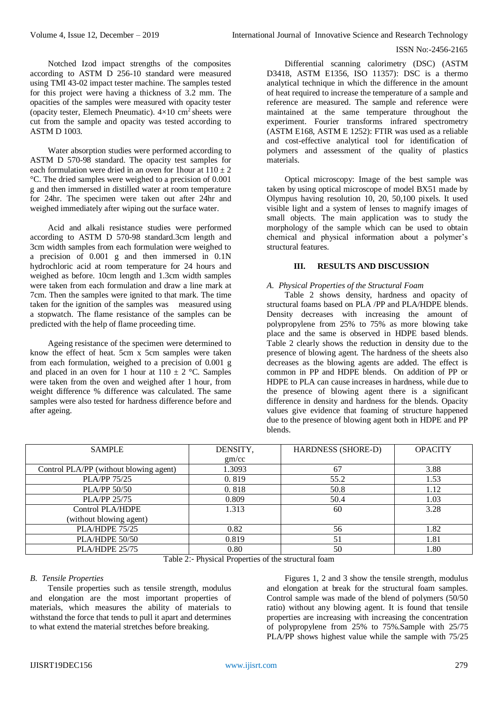Notched Izod impact strengths of the composites according to ASTM D 256-10 standard were measured using TMI 43-02 impact tester machine. The samples tested for this project were having a thickness of 3.2 mm. The opacities of the samples were measured with opacity tester (opacity tester, Elemech Pneumatic).  $4\times10$  cm<sup>2</sup> sheets were cut from the sample and opacity was tested according to ASTM D 1003.

Water absorption studies were performed according to ASTM D 570-98 standard. The opacity test samples for each formulation were dried in an oven for 1 hour at  $110 \pm 2$ °C. The dried samples were weighed to a precision of 0.001 g and then immersed in distilled water at room temperature for 24hr. The specimen were taken out after 24hr and weighed immediately after wiping out the surface water.

Acid and alkali resistance studies were performed according to ASTM D 570-98 standard.3cm length and 3cm width samples from each formulation were weighed to a precision of 0.001 g and then immersed in 0.1N hydrochloric acid at room temperature for 24 hours and weighed as before. 10cm length and 1.3cm width samples were taken from each formulation and draw a line mark at 7cm. Then the samples were ignited to that mark. The time taken for the ignition of the samples was measured using a stopwatch. The flame resistance of the samples can be predicted with the help of flame proceeding time.

Ageing resistance of the specimen were determined to know the effect of heat. 5cm x 5cm samples were taken from each formulation, weighed to a precision of 0.001 g and placed in an oven for 1 hour at  $110 \pm 2$  °C. Samples were taken from the oven and weighed after 1 hour, from weight difference % difference was calculated. The same samples were also tested for hardness difference before and after ageing.

Differential scanning calorimetry (DSC) (ASTM D3418, ASTM E1356, ISO 11357): DSC is a thermo analytical technique in which the difference in the amount of heat required to increase the temperature of a sample and reference are measured. The sample and reference were maintained at the same temperature throughout the experiment. Fourier transforms infrared spectrometry (ASTM E168, ASTM E 1252): FTIR was used as a reliable and cost-effective analytical tool for identification of polymers and assessment of the quality of plastics materials.

Optical microscopy: Image of the best sample was taken by using optical microscope of model BX51 made by Olympus having resolution 10, 20, 50,100 pixels. It used visible light and a system of lenses to magnify images of small objects. The main application was to study the morphology of the sample which can be used to obtain chemical and physical information about a polymer's structural features.

## **III. RESULTS AND DISCUSSION**

### *A. Physical Properties of the Structural Foam*

Table 2 shows density, hardness and opacity of structural foams based on PLA /PP and PLA/HDPE blends. Density decreases with increasing the amount of polypropylene from 25% to 75% as more blowing take place and the same is observed in HDPE based blends. Table 2 clearly shows the reduction in density due to the presence of blowing agent. The hardness of the sheets also decreases as the blowing agents are added. The effect is common in PP and HDPE blends. On addition of PP or HDPE to PLA can cause increases in hardness, while due to the presence of blowing agent there is a significant difference in density and hardness for the blends. Opacity values give evidence that foaming of structure happened due to the presence of blowing agent both in HDPE and PP blends.

| <b>SAMPLE</b>                          | DENSITY, | <b>HARDNESS (SHORE-D)</b> | <b>OPACITY</b> |
|----------------------------------------|----------|---------------------------|----------------|
|                                        |          |                           |                |
|                                        | gm/cc    |                           |                |
| Control PLA/PP (without blowing agent) | 1.3093   | 67                        | 3.88           |
| <b>PLA/PP 75/25</b>                    | 0.819    | 55.2                      | 1.53           |
| <b>PLA/PP 50/50</b>                    | 0.818    | 50.8                      | 1.12           |
| <b>PLA/PP 25/75</b>                    | 0.809    | 50.4                      | 1.03           |
| Control PLA/HDPE                       | 1.313    | 60                        | 3.28           |
| (without blowing agent)                |          |                           |                |
| PLA/HDPE 75/25                         | 0.82     | 56                        | 1.82           |
| PLA/HDPE 50/50                         | 0.819    | 51                        | 1.81           |
| PLA/HDPE 25/75                         | 0.80     | 50                        | 1.80           |

Table 2:- Physical Properties of the structural foam

## *B. Tensile Properties*

Tensile properties such as tensile strength, modulus and elongation are the most important properties of materials, which measures the ability of materials to withstand the force that tends to pull it apart and determines to what extend the material stretches before breaking.

Figures 1, 2 and 3 show the tensile strength, modulus and elongation at break for the structural foam samples. Control sample was made of the blend of polymers (50/50 ratio) without any blowing agent. It is found that tensile properties are increasing with increasing the concentration of polypropylene from 25% to 75%.Sample with 25/75 PLA/PP shows highest value while the sample with 75/25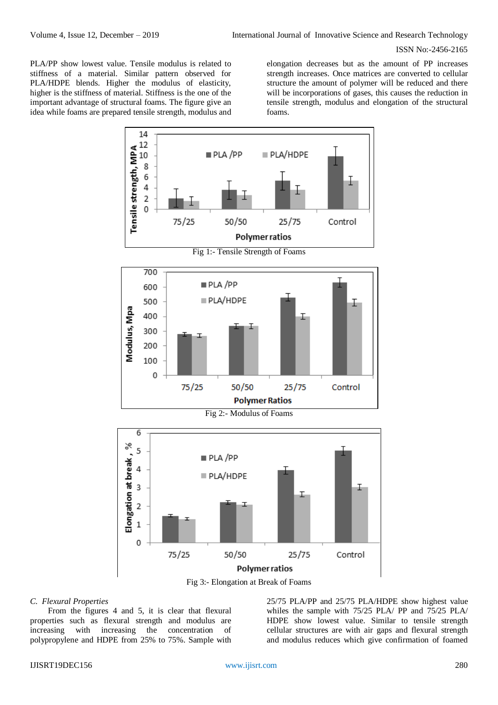PLA/PP show lowest value. Tensile modulus is related to stiffness of a material. Similar pattern observed for PLA/HDPE blends. Higher the modulus of elasticity, higher is the stiffness of material. Stiffness is the one of the important advantage of structural foams. The figure give an idea while foams are prepared tensile strength, modulus and

elongation decreases but as the amount of PP increases strength increases. Once matrices are converted to cellular structure the amount of polymer will be reduced and there will be incorporations of gases, this causes the reduction in tensile strength, modulus and elongation of the structural foams.



#### *C. Flexural Properties*

From the figures 4 and 5, it is clear that flexural properties such as flexural strength and modulus are increasing with increasing the concentration of polypropylene and HDPE from 25% to 75%. Sample with

25/75 PLA/PP and 25/75 PLA/HDPE show highest value whiles the sample with 75/25 PLA/ PP and 75/25 PLA/ HDPE show lowest value. Similar to tensile strength cellular structures are with air gaps and flexural strength and modulus reduces which give confirmation of foamed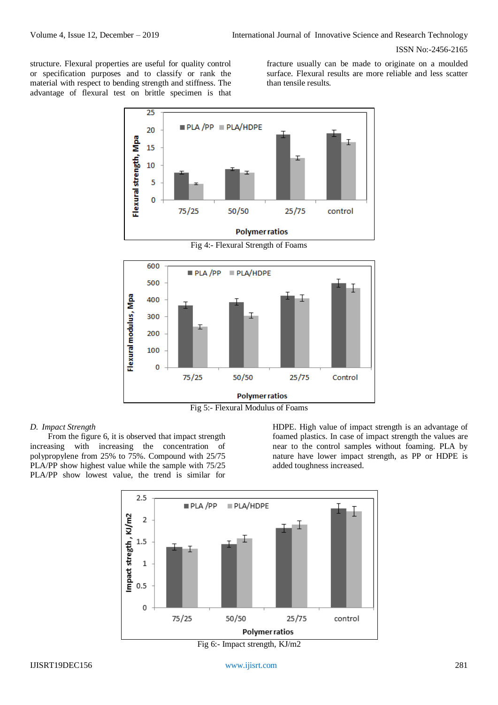structure. Flexural properties are useful for quality control or specification purposes and to classify or rank the material with respect to bending strength and stiffness. The advantage of flexural test on brittle specimen is that

fracture usually can be made to originate on a moulded surface. Flexural results are more reliable and less scatter than tensile results.



**Polymer ratios** 



#### *D. Impact Strength*

From the figure 6, it is observed that impact strength increasing with increasing the concentration of polypropylene from 25% to 75%. Compound with 25/75 PLA/PP show highest value while the sample with 75/25 PLA/PP show lowest value, the trend is similar for

HDPE. High value of impact strength is an advantage of foamed plastics. In case of impact strength the values are near to the control samples without foaming. PLA by nature have lower impact strength, as PP or HDPE is added toughness increased.



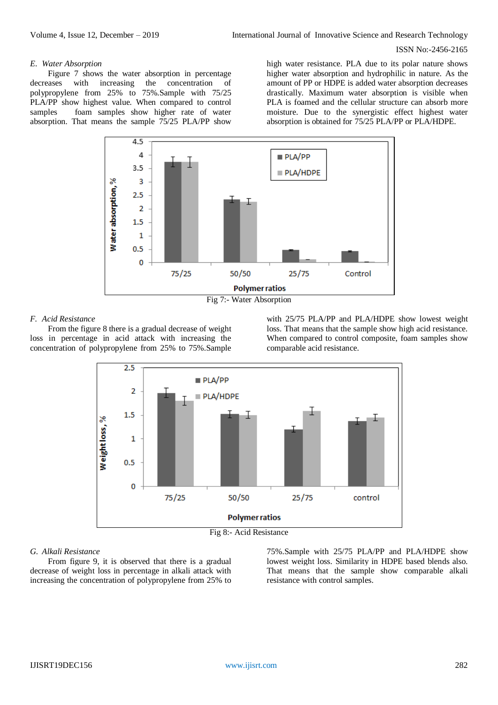#### *E. Water Absorption*

Figure 7 shows the water absorption in percentage decreases with increasing the concentration of polypropylene from 25% to 75%.Sample with 75/25 PLA/PP show highest value. When compared to control samples foam samples show higher rate of water absorption. That means the sample 75/25 PLA/PP show

high water resistance. PLA due to its polar nature shows higher water absorption and hydrophilic in nature. As the amount of PP or HDPE is added water absorption decreases drastically. Maximum water absorption is visible when PLA is foamed and the cellular structure can absorb more moisture. Due to the synergistic effect highest water absorption is obtained for 75/25 PLA/PP or PLA/HDPE.



Fig 7:- Water Absorption

## *F. Acid Resistance*

From the figure 8 there is a gradual decrease of weight loss in percentage in acid attack with increasing the concentration of polypropylene from 25% to 75%.Sample

with 25/75 PLA/PP and PLA/HDPE show lowest weight loss. That means that the sample show high acid resistance. When compared to control composite, foam samples show comparable acid resistance.



Fig 8:- Acid Resistance

## *G. Alkali Resistance*

From figure 9, it is observed that there is a gradual decrease of weight loss in percentage in alkali attack with increasing the concentration of polypropylene from 25% to

75%.Sample with 25/75 PLA/PP and PLA/HDPE show lowest weight loss. Similarity in HDPE based blends also. That means that the sample show comparable alkali resistance with control samples.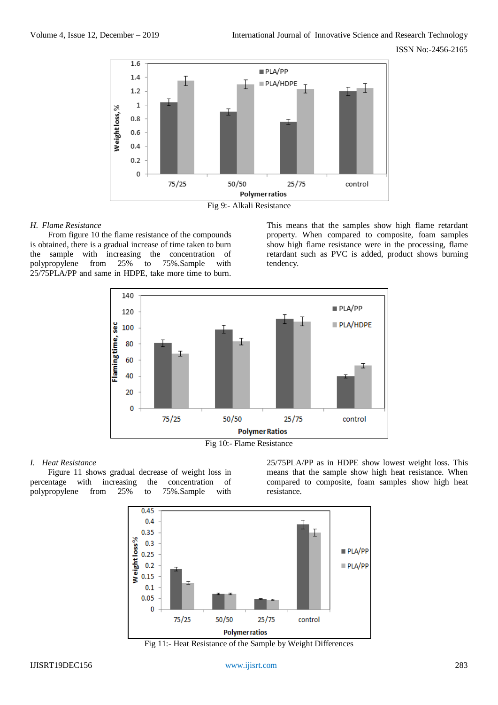



#### *H. Flame Resistance*

From figure 10 the flame resistance of the compounds is obtained, there is a gradual increase of time taken to burn the sample with increasing the concentration of polypropylene from 25% to 75%.Sample with 25/75PLA/PP and same in HDPE, take more time to burn.

This means that the samples show high flame retardant property. When compared to composite, foam samples show high flame resistance were in the processing, flame retardant such as PVC is added, product shows burning tendency.



Fig 10:- Flame Resistance

## *I. Heat Resistance*

Figure 11 shows gradual decrease of weight loss in percentage with increasing the concentration of polypropylene from 25% to 75%.Sample with

25/75PLA/PP as in HDPE show lowest weight loss. This means that the sample show high heat resistance. When compared to composite, foam samples show high heat resistance.



Fig 11:- Heat Resistance of the Sample by Weight Differences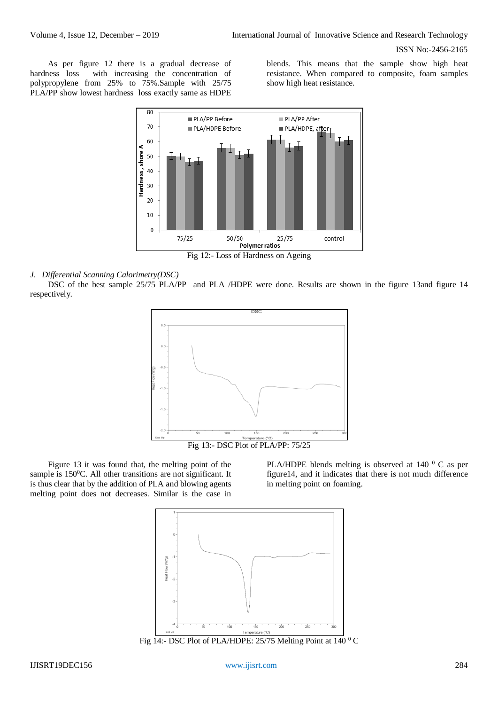As per figure 12 there is a gradual decrease of hardness loss with increasing the concentration of polypropylene from 25% to 75%.Sample with 25/75 PLA/PP show lowest hardness loss exactly same as HDPE

blends. This means that the sample show high heat resistance. When compared to composite, foam samples show high heat resistance.



#### *J. Differential Scanning Calorimetry(DSC)*

DSC of the best sample 25/75 PLA/PP and PLA /HDPE were done. Results are shown in the figure 13and figure 14 respectively.



Fig 13:- DSC Plot of PLA/PP: 75/25

Figure 13 it was found that, the melting point of the sample is  $150^{\circ}$ C. All other transitions are not significant. It is thus clear that by the addition of PLA and blowing agents melting point does not decreases. Similar is the case in

PLA/HDPE blends melting is observed at 140 $\degree$  C as per figure14, and it indicates that there is not much difference in melting point on foaming.



Fig 14:- DSC Plot of PLA/HDPE: 25/75 Melting Point at 140  $\rm{^0}$  C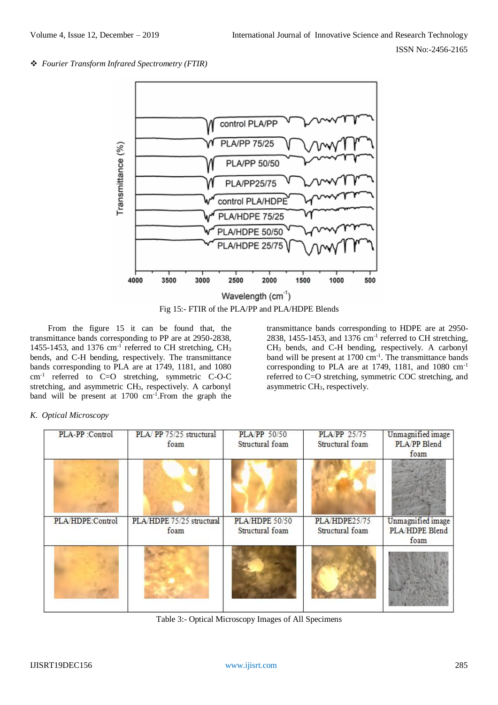*Fourier Transform Infrared Spectrometry (FTIR)*



Fig 15:- FTIR of the PLA/PP and PLA/HDPE Blends

From the figure 15 it can be found that, the transmittance bands corresponding to PP are at 2950-2838, 1455-1453, and 1376  $cm^{-1}$  referred to CH stretching, CH<sub>3</sub> bends, and C-H bending, respectively. The transmittance bands corresponding to PLA are at 1749, 1181, and 1080 cm-1 referred to C=O stretching, symmetric C-O-C stretching, and asymmetric CH3, respectively. A carbonyl band will be present at  $1700 \text{ cm}^{-1}$ . From the graph the

transmittance bands corresponding to HDPE are at 2950- 2838, 1455-1453, and 1376 cm<sup>-1</sup> referred to CH stretching, CH<sup>3</sup> bends, and C-H bending, respectively. A carbonyl band will be present at  $1700 \text{ cm}^{-1}$ . The transmittance bands corresponding to PLA are at 1749, 1181, and 1080 cm-1 referred to C=O stretching, symmetric COC stretching, and asymmetric CH3, respectively.

# *K. Optical Microscopy*

| PLA-PP :Control  | PLA/PP 75/25 structural<br>foam   | <b>PLA/PP 50/50</b><br>Structural foam | <b>PLA/PP</b> 25/75<br>Structural foam | Unmagnified image<br>PLA/PP Blend<br>foam   |
|------------------|-----------------------------------|----------------------------------------|----------------------------------------|---------------------------------------------|
|                  |                                   |                                        |                                        |                                             |
| PLA/HDPE:Control | PLA/HDPE 75/25 structural<br>foam | PLA/HDPE 50/50<br>Structural foam      | PLA/HDPE25/75<br>Structural foam       | Unmagnified image<br>PLA/HDPE Blend<br>foam |
|                  |                                   |                                        |                                        |                                             |

Table 3:- Optical Microscopy Images of All Specimens